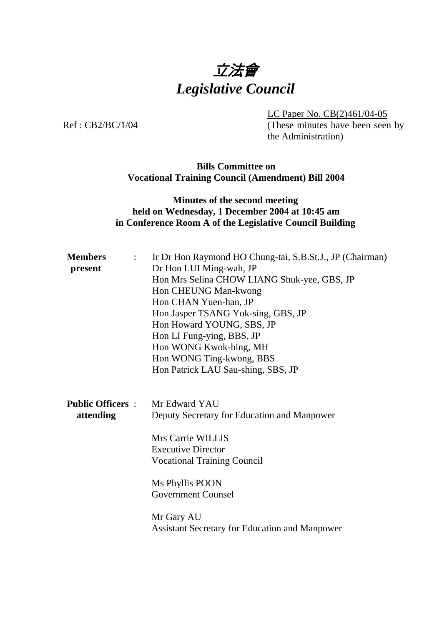

LC Paper No. CB(2)461/04-05

Ref: CB2/BC/1/04 (These minutes have been seen by the Administration)

#### **Bills Committee on Vocational Training Council (Amendment) Bill 2004**

# **Minutes of the second meeting held on Wednesday, 1 December 2004 at 10:45 am in Conference Room A of the Legislative Council Building**

| <b>Members</b><br>$\mathbb{R}^{\mathbb{Z}}$<br>present | Ir Dr Hon Raymond HO Chung-tai, S.B.St.J., JP (Chairman)<br>Dr Hon LUI Ming-wah, JP<br>Hon Mrs Selina CHOW LIANG Shuk-yee, GBS, JP<br>Hon CHEUNG Man-kwong<br>Hon CHAN Yuen-han, JP<br>Hon Jasper TSANG Yok-sing, GBS, JP<br>Hon Howard YOUNG, SBS, JP<br>Hon LI Fung-ying, BBS, JP<br>Hon WONG Kwok-hing, MH<br>Hon WONG Ting-kwong, BBS<br>Hon Patrick LAU Sau-shing, SBS, JP |
|--------------------------------------------------------|---------------------------------------------------------------------------------------------------------------------------------------------------------------------------------------------------------------------------------------------------------------------------------------------------------------------------------------------------------------------------------|
| <b>Public Officers:</b> Mr Edward YAU<br>attending     | Deputy Secretary for Education and Manpower<br>Mrs Carrie WILLIS<br><b>Executive Director</b><br><b>Vocational Training Council</b><br>Ms Phyllis POON<br><b>Government Counsel</b><br>Mr Gary AU<br><b>Assistant Secretary for Education and Manpower</b>                                                                                                                      |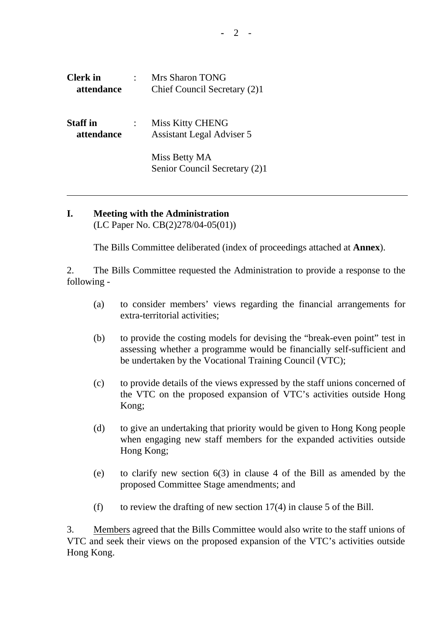| <b>Clerk</b> in<br>attendance | <b>Mrs Sharon TONG</b><br>Chief Council Secretary (2)1      |
|-------------------------------|-------------------------------------------------------------|
| <b>Staff</b> in<br>attendance | <b>Miss Kitty CHENG</b><br><b>Assistant Legal Adviser 5</b> |
|                               | Miss Betty MA<br>Senior Council Secretary (2)1              |

#### **I. Meeting with the Administration**  (LC Paper No. CB(2)278/04-05(01))

The Bills Committee deliberated (index of proceedings attached at **Annex**).

2. The Bills Committee requested the Administration to provide a response to the following -

- (a) to consider members' views regarding the financial arrangements for extra-territorial activities;
- (b) to provide the costing models for devising the "break-even point" test in assessing whether a programme would be financially self-sufficient and be undertaken by the Vocational Training Council (VTC);
- (c) to provide details of the views expressed by the staff unions concerned of the VTC on the proposed expansion of VTC's activities outside Hong Kong;
- (d) to give an undertaking that priority would be given to Hong Kong people when engaging new staff members for the expanded activities outside Hong Kong;
- (e) to clarify new section 6(3) in clause 4 of the Bill as amended by the proposed Committee Stage amendments; and
- (f) to review the drafting of new section  $17(4)$  in clause 5 of the Bill.

3. Members agreed that the Bills Committee would also write to the staff unions of VTC and seek their views on the proposed expansion of the VTC's activities outside Hong Kong.

**-** 2 -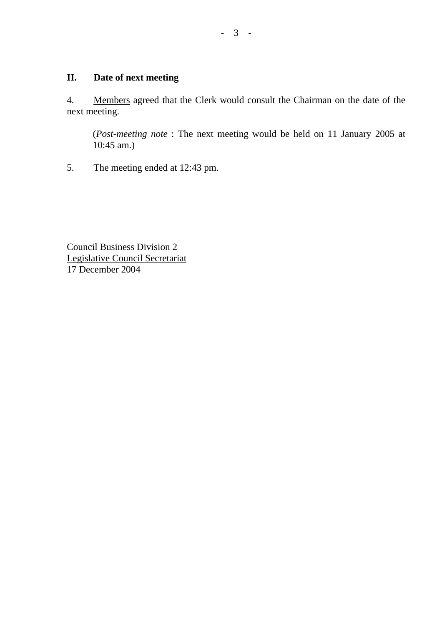### **II. Date of next meeting**

4. Members agreed that the Clerk would consult the Chairman on the date of the next meeting.

 (*Post-meeting note* : The next meeting would be held on 11 January 2005 at 10:45 am.)

5. The meeting ended at 12:43 pm.

Council Business Division 2 Legislative Council Secretariat 17 December 2004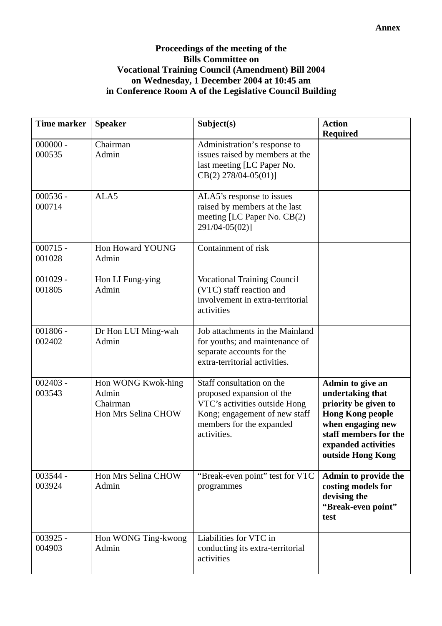## **Proceedings of the meeting of the Bills Committee on Vocational Training Council (Amendment) Bill 2004 on Wednesday, 1 December 2004 at 10:45 am in Conference Room A of the Legislative Council Building**

| <b>Time marker</b>   | <b>Speaker</b>                                                        | Subject(s)                                                                                                                                                          | <b>Action</b><br><b>Required</b>                                                                                                                                                  |
|----------------------|-----------------------------------------------------------------------|---------------------------------------------------------------------------------------------------------------------------------------------------------------------|-----------------------------------------------------------------------------------------------------------------------------------------------------------------------------------|
| $000000 -$<br>000535 | Chairman<br>Admin                                                     | Administration's response to<br>issues raised by members at the<br>last meeting [LC Paper No.<br>$CB(2)$ 278/04-05(01)]                                             |                                                                                                                                                                                   |
| $000536 -$<br>000714 | ALA5                                                                  | ALA5's response to issues<br>raised by members at the last<br>meeting [LC Paper No. CB(2)<br>291/04-05(02)]                                                         |                                                                                                                                                                                   |
| $000715 -$<br>001028 | Hon Howard YOUNG<br>Admin                                             | Containment of risk                                                                                                                                                 |                                                                                                                                                                                   |
| $001029 -$<br>001805 | Hon LI Fung-ying<br>Admin                                             | <b>Vocational Training Council</b><br>(VTC) staff reaction and<br>involvement in extra-territorial<br>activities                                                    |                                                                                                                                                                                   |
| $001806 -$<br>002402 | Dr Hon LUI Ming-wah<br>Admin                                          | Job attachments in the Mainland<br>for youths; and maintenance of<br>separate accounts for the<br>extra-territorial activities.                                     |                                                                                                                                                                                   |
| $002403 -$<br>003543 | Hon WONG Kwok-hing<br>Admin<br>Chairman<br><b>Hon Mrs Selina CHOW</b> | Staff consultation on the<br>proposed expansion of the<br>VTC's activities outside Hong<br>Kong; engagement of new staff<br>members for the expanded<br>activities. | Admin to give an<br>undertaking that<br>priority be given to<br><b>Hong Kong people</b><br>when engaging new<br>staff members for the<br>expanded activities<br>outside Hong Kong |
| 003544 -<br>003924   | Hon Mrs Selina CHOW<br>Admin                                          | "Break-even point" test for VTC<br>programmes                                                                                                                       | Admin to provide the<br>costing models for<br>devising the<br>"Break-even point"<br>test                                                                                          |
| $003925 -$<br>004903 | Hon WONG Ting-kwong<br>Admin                                          | Liabilities for VTC in<br>conducting its extra-territorial<br>activities                                                                                            |                                                                                                                                                                                   |